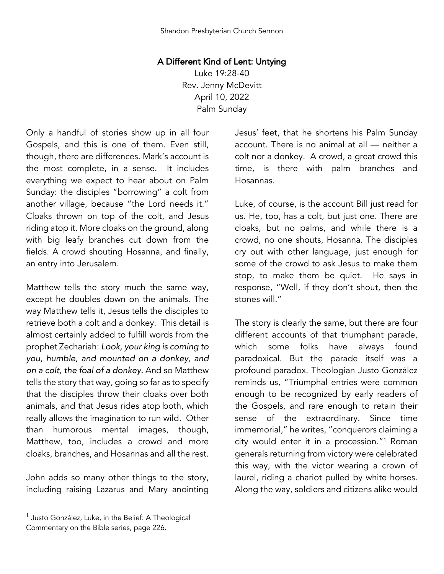## A Different Kind of Lent: Untying

Luke 19:28-40 Rev. Jenny McDevitt April 10, 2022 Palm Sunday

Only a handful of stories show up in all four Gospels, and this is one of them. Even still, though, there are differences. Mark's account is the most complete, in a sense. It includes everything we expect to hear about on Palm Sunday: the disciples "borrowing" a colt from another village, because "the Lord needs it." Cloaks thrown on top of the colt, and Jesus riding atop it. More cloaks on the ground, along with big leafy branches cut down from the fields. A crowd shouting Hosanna, and finally, an entry into Jerusalem.

Matthew tells the story much the same way, except he doubles down on the animals. The way Matthew tells it, Jesus tells the disciples to retrieve both a colt and a donkey. This detail is almost certainly added to fulfill words from the prophet Zechariah: *Look, your king is coming to you, humble, and mounted on a donkey, and on a colt, the foal of a donkey.* And so Matthew tells the story that way, going so far as to specify that the disciples throw their cloaks over both animals, and that Jesus rides atop both, which really allows the imagination to run wild. Other than humorous mental images, though, Matthew, too, includes a crowd and more cloaks, branches, and Hosannas and all the rest.

John adds so many other things to the story, including raising Lazarus and Mary anointing

Jesus' feet, that he shortens his Palm Sunday account. There is no animal at all — neither a colt nor a donkey. A crowd, a great crowd this time, is there with palm branches and Hosannas.

Luke, of course, is the account Bill just read for us. He, too, has a colt, but just one. There are cloaks, but no palms, and while there is a crowd, no one shouts, Hosanna. The disciples cry out with other language, just enough for some of the crowd to ask Jesus to make them stop, to make them be quiet. He says in response, "Well, if they don't shout, then the stones will."

The story is clearly the same, but there are four different accounts of that triumphant parade, which some folks have always found paradoxical. But the parade itself was a profound paradox. Theologian Justo González reminds us, "Triumphal entries were common enough to be recognized by early readers of the Gospels, and rare enough to retain their sense of the extraordinary. Since time immemorial," he writes, "conquerors claiming a city would enter it in a procession."1 Roman generals returning from victory were celebrated this way, with the victor wearing a crown of laurel, riding a chariot pulled by white horses. Along the way, soldiers and citizens alike would

 $<sup>1</sup>$  Justo González, Luke, in the Belief: A Theological</sup> Commentary on the Bible series, page 226.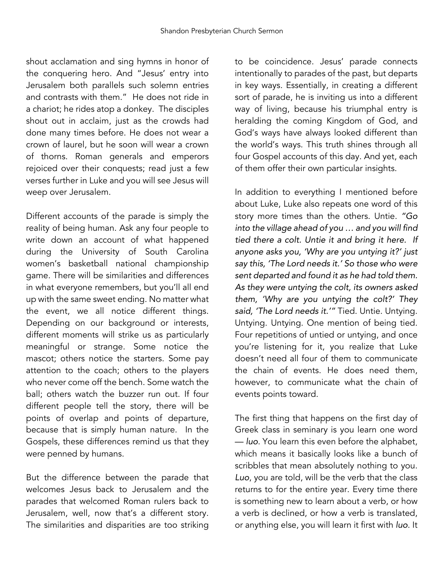shout acclamation and sing hymns in honor of the conquering hero. And "Jesus' entry into Jerusalem both parallels such solemn entries and contrasts with them." He does not ride in a chariot; he rides atop a donkey. The disciples shout out in acclaim, just as the crowds had done many times before. He does not wear a crown of laurel, but he soon will wear a crown of thorns. Roman generals and emperors rejoiced over their conquests; read just a few verses further in Luke and you will see Jesus will weep over Jerusalem.

Different accounts of the parade is simply the reality of being human. Ask any four people to write down an account of what happened during the University of South Carolina women's basketball national championship game. There will be similarities and differences in what everyone remembers, but you'll all end up with the same sweet ending. No matter what the event, we all notice different things. Depending on our background or interests, different moments will strike us as particularly meaningful or strange. Some notice the mascot; others notice the starters. Some pay attention to the coach; others to the players who never come off the bench. Some watch the ball; others watch the buzzer run out. If four different people tell the story, there will be points of overlap and points of departure, because that is simply human nature. In the Gospels, these differences remind us that they were penned by humans.

But the difference between the parade that welcomes Jesus back to Jerusalem and the parades that welcomed Roman rulers back to Jerusalem, well, now that's a different story. The similarities and disparities are too striking

to be coincidence. Jesus' parade connects intentionally to parades of the past, but departs in key ways. Essentially, in creating a different sort of parade, he is inviting us into a different way of living, because his triumphal entry is heralding the coming Kingdom of God, and God's ways have always looked different than the world's ways. This truth shines through all four Gospel accounts of this day. And yet, each of them offer their own particular insights.

In addition to everything I mentioned before about Luke, Luke also repeats one word of this story more times than the others. Untie. *"Go into the village ahead of you … and you will find tied there a colt. Untie it and bring it here. If anyone asks you, 'Why are you untying it?' just say this, 'The Lord needs it.' So those who were sent departed and found it as he had told them. As they were untying the colt, its owners asked them, 'Why are you untying the colt?' They said, 'The Lord needs it.'"* Tied. Untie. Untying. Untying. Untying. One mention of being tied. Four repetitions of untied or untying, and once you're listening for it, you realize that Luke doesn't need all four of them to communicate the chain of events. He does need them, however, to communicate what the chain of events points toward.

The first thing that happens on the first day of Greek class in seminary is you learn one word — *luo*. You learn this even before the alphabet, which means it basically looks like a bunch of scribbles that mean absolutely nothing to you. *Luo*, you are told, will be the verb that the class returns to for the entire year. Every time there is something new to learn about a verb, or how a verb is declined, or how a verb is translated, or anything else, you will learn it first with *luo*. It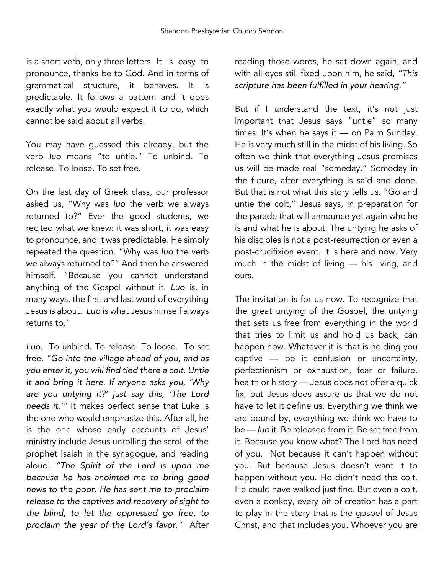is a short verb, only three letters. It is easy to pronounce, thanks be to God. And in terms of grammatical structure, it behaves. It is predictable. It follows a pattern and it does exactly what you would expect it to do, which cannot be said about all verbs.

You may have guessed this already, but the verb *luo* means "to untie." To unbind. To release. To loose. To set free.

On the last day of Greek class, our professor asked us, "Why was *luo* the verb we always returned to?" Ever the good students, we recited what we knew: it was short, it was easy to pronounce, and it was predictable. He simply repeated the question. "Why was *luo* the verb we always returned to?" And then he answered himself. "Because you cannot understand anything of the Gospel without it. *Luo* is, in many ways, the first and last word of everything Jesus is about. *Luo* is what Jesus himself always returns to."

*Luo*. To unbind. To release. To loose. To set free. *"Go into the village ahead of you, and as you enter it, you will find tied there a colt. Untie it and bring it here. If anyone asks you, 'Why are you untying it?' just say this, 'The Lord needs it.'"* It makes perfect sense that Luke is the one who would emphasize this. After all, he is the one whose early accounts of Jesus' ministry include Jesus unrolling the scroll of the prophet Isaiah in the synagogue, and reading aloud, *"The Spirit of the Lord is upon me because he has anointed me to bring good news to the poor. He has sent me to proclaim release to the captives and recovery of sight to the blind, to let the oppressed go free, to proclaim the year of the Lord's favor."* After

reading those words, he sat down again, and with all eyes still fixed upon him, he said, *"This scripture has been fulfilled in your hearing."*

But if I understand the text, it's not just important that Jesus says "untie" so many times. It's when he says it — on Palm Sunday. He is very much still in the midst of his living. So often we think that everything Jesus promises us will be made real "someday." Someday in the future, after everything is said and done. But that is not what this story tells us. "Go and untie the colt," Jesus says, in preparation for the parade that will announce yet again who he is and what he is about. The untying he asks of his disciples is not a post-resurrection or even a post-crucifixion event. It is here and now. Very much in the midst of living — his living, and ours.

The invitation is for us now. To recognize that the great untying of the Gospel, the untying that sets us free from everything in the world that tries to limit us and hold us back, can happen now. Whatever it is that is holding you captive — be it confusion or uncertainty, perfectionism or exhaustion, fear or failure, health or history — Jesus does not offer a quick fix, but Jesus does assure us that we do not have to let it define us. Everything we think we are bound by, everything we think we have to be — *luo* it. Be released from it. Be set free from it. Because you know what? The Lord has need of you. Not because it can't happen without you. But because Jesus doesn't want it to happen without you. He didn't need the colt. He could have walked just fine. But even a colt, even a donkey, every bit of creation has a part to play in the story that is the gospel of Jesus Christ, and that includes you. Whoever you are